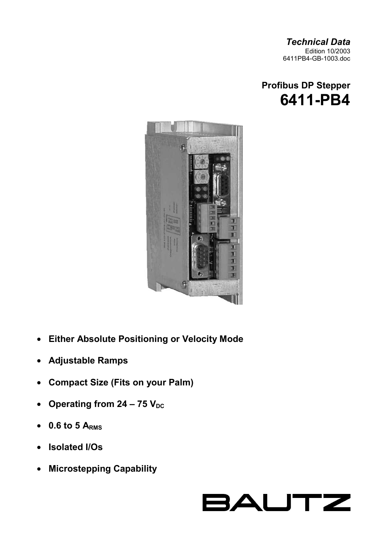*Technical Data*  Edition 10/2003 6411PB4-GB-1003.doc





- **Either Absolute Positioning or Velocity Mode**
- **Adjustable Ramps**
- **Compact Size (Fits on your Palm)**
- Operating from  $24 75$  V<sub>DC</sub>
- **0.6 to 5 ARMS**
- **Isolated I/Os**
- **Microstepping Capability**

# BAUTZ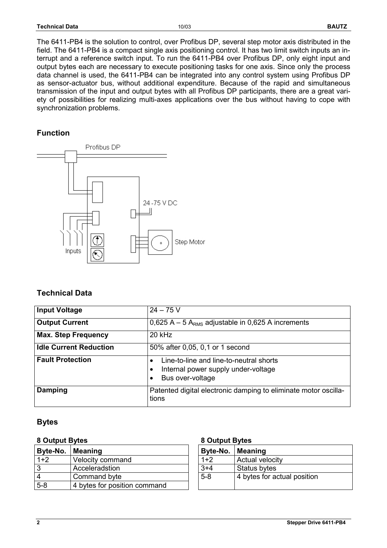| <b>Technical Data</b> | 10/03 |  | <b>BAUTZ</b> |
|-----------------------|-------|--|--------------|
|-----------------------|-------|--|--------------|

The 6411-PB4 is the solution to control, over Profibus DP, several step motor axis distributed in the field. The 6411-PB4 is a compact single axis positioning control. It has two limit switch inputs an interrupt and a reference switch input. To run the 6411-PB4 over Profibus DP, only eight input and output bytes each are necessary to execute positioning tasks for one axis. Since only the process data channel is used, the 6411-PB4 can be integrated into any control system using Profibus DP as sensor-actuator bus, without additional expenditure. Because of the rapid and simultaneous transmission of the input and output bytes with all Profibus DP participants, there are a great variety of possibilities for realizing multi-axes applications over the bus without having to cope with synchronization problems.

#### **Function**



# **Technical Data**

| <b>Input Voltage</b>          | $24 - 75V$                                                                                         |  |  |
|-------------------------------|----------------------------------------------------------------------------------------------------|--|--|
| <b>Output Current</b>         | 0,625 A – 5 A <sub>RMS</sub> adjustable in 0,625 A increments                                      |  |  |
| <b>Max. Step Frequency</b>    | 20 kHz                                                                                             |  |  |
| <b>Idle Current Reduction</b> | 50% after 0,05, 0,1 or 1 second                                                                    |  |  |
| <b>Fault Protection</b>       | Line-to-line and line-to-neutral shorts<br>Internal power supply under-voltage<br>Bus over-voltage |  |  |
| Damping                       | Patented digital electronic damping to eliminate motor oscilla-<br>tions                           |  |  |

#### **Bytes**

#### 8 Output Bytes **8 Output Bytes**

| Byte-No. | <b>Meaning</b>               | Byte-No. | Meaning          |
|----------|------------------------------|----------|------------------|
| $1+2$    | Velocity command             | $1+2$    | Actual velocity  |
| 3        | Acceleradstion               | $3 + 4$  | Status bytes     |
| 4        | Command byte                 | $5 - 8$  | 4 bytes for actu |
| $5 - 8$  | 4 bytes for position command |          |                  |

| Byte-No. | <b>Meaning</b>              |
|----------|-----------------------------|
| $1+2$    | <b>Actual velocity</b>      |
| $3+4$    | Status bytes                |
| $5 - 8$  | 4 bytes for actual position |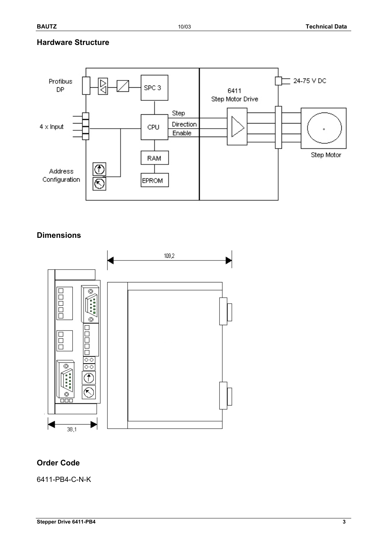### **Hardware Structure**



### **Dimensions**



#### **Order Code**

6411-PB4-C-N-K